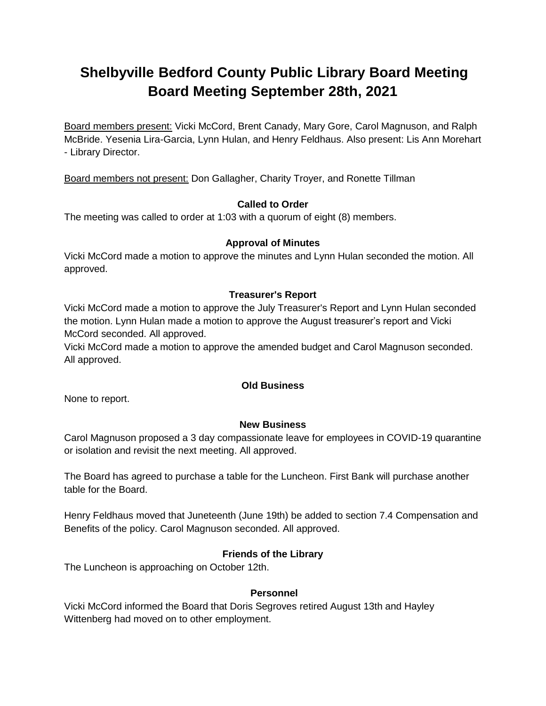# **Shelbyville Bedford County Public Library Board Meeting Board Meeting September 28th, 2021**

Board members present: Vicki McCord, Brent Canady, Mary Gore, Carol Magnuson, and Ralph McBride. Yesenia Lira-Garcia, Lynn Hulan, and Henry Feldhaus. Also present: Lis Ann Morehart - Library Director.

Board members not present: Don Gallagher, Charity Troyer, and Ronette Tillman

## **Called to Order**

The meeting was called to order at 1:03 with a quorum of eight (8) members.

## **Approval of Minutes**

Vicki McCord made a motion to approve the minutes and Lynn Hulan seconded the motion. All approved.

## **Treasurer's Report**

Vicki McCord made a motion to approve the July Treasurer's Report and Lynn Hulan seconded the motion. Lynn Hulan made a motion to approve the August treasurer's report and Vicki McCord seconded. All approved.

Vicki McCord made a motion to approve the amended budget and Carol Magnuson seconded. All approved.

## **Old Business**

None to report.

## **New Business**

Carol Magnuson proposed a 3 day compassionate leave for employees in COVID-19 quarantine or isolation and revisit the next meeting. All approved.

The Board has agreed to purchase a table for the Luncheon. First Bank will purchase another table for the Board.

Henry Feldhaus moved that Juneteenth (June 19th) be added to section 7.4 Compensation and Benefits of the policy. Carol Magnuson seconded. All approved.

## **Friends of the Library**

The Luncheon is approaching on October 12th.

#### **Personnel**

Vicki McCord informed the Board that Doris Segroves retired August 13th and Hayley Wittenberg had moved on to other employment.